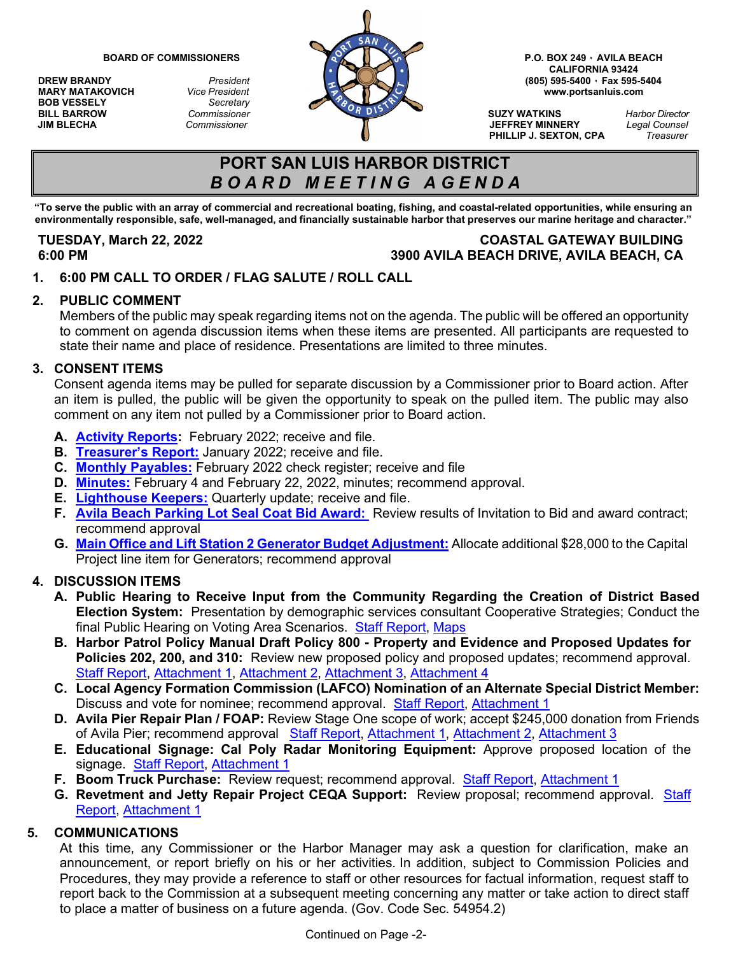**MARY MATAKOVICH** *Vice President*<br>**BOB VESSELY** *Secretary* **BOB VESSELY** *Secretary*



**CALIFORNIA 93424**

**PHILLIP J. SEXTON, CPA** *Treasurer*

# **PORT SAN LUIS HARBOR DISTRICT** *B O A R D M E E T I N G A G E N D A*

**"To serve the public with an array of commercial and recreational boating, fishing, and coastal-related opportunities, while ensuring an** environmentally responsible, safe, well-managed, and financially sustainable harbor that preserves our marine heritage and character."

## **TUESDAY, March 22, 2022 COASTAL GATEWAY BUILDING 6:00 PM 3900 AVILA BEACH DRIVE, AVILA BEACH, CA**

**1. 6:00 PM CALL TO ORDER / FLAG SALUTE / ROLL CALL**

### **2. PUBLIC COMMENT**

Members of the public may speak regarding items not on the agenda. The public will be offered an opportunity to comment on agenda discussion items when these items are presented. All participants are requested to state their name and place of residence. Presentations are limited to three minutes.

#### **3. CONSENT ITEMS**

Consent agenda items may be pulled for separate discussion by a Commissioner prior to Board action. After an item is pulled, the public will be given the opportunity to speak on the pulled item. The public may also comment on any item not pulled by a Commissioner prior to Board action.

- **A. [Activity Reports:](https://www.portsanluis.com/DocumentCenter/View/6036/Consent-A---PSL-Activity-Report-February-2022)** February 2022; receive and file.
- **B. [Treasurer's Report:](https://www.portsanluis.com/DocumentCenter/View/6016/Consent-B---PSLHD-Treasurers-Report)** January 2022; receive and file.
- **C. [Monthly Payables:](https://www.portsanluis.com/DocumentCenter/View/6017/Consent-C---Monthly-Payables-for-Feb-2022-032222-BOC)** February 2022 check register; receive and file
- **D. [Minutes:](https://www.portsanluis.com/DocumentCenter/View/6037/Consent-Da_Db---020422-Meeting-Minutes-DRAFT)** February 4 and February 22, 2022, minutes; recommend approval.
- **E. [Lighthouse Keepers:](https://www.portsanluis.com/DocumentCenter/View/6018/Consent-E---Lighthouse-Keepers-Activity-Report-for-October-November-December-2021-BOC)** Quarterly update; receive and file.
- **F. [Avila Beach Parking Lot Seal Coat Bid Award:](https://www.portsanluis.com/DocumentCenter/View/6039/Consent-F--Avila-Beach-Parking-Lot-Seal-Coat-Bid-Award-2022)** Review results of Invitation to Bid and award contract; recommend approval
- **G. [Main Office and Lift Station 2 Generator Budget Adjustment:](https://www.portsanluis.com/DocumentCenter/View/6040/Consent-G---Mar-22-2022---MO--LS2-Generators-Budget-Adj)** Allocate additional \$28,000 to the Capital Project line item for Generators; recommend approval

### **4. DISCUSSION ITEMS**

- **A. Public Hearing to Receive Input from the Community Regarding the Creation of District Based Election System:** Presentation by demographic services consultant Cooperative Strategies; Conduct the final Public Hearing on Voting Area Scenarios. [Staff Report,](https://www.portsanluis.com/DocumentCenter/View/6019/Disc-A---SR-District-Based-Elections-Public-Hearing-3-32222) [Maps](https://www.portsanluis.com/DocumentCenter/View/6020/Disc-Aab---MAPS)
- **B. Harbor Patrol Policy Manual Draft Policy 800 - Property and Evidence and Proposed Updates for Policies 202, 200, and 310:** Review new proposed policy and proposed updates; recommend approval. [Staff Report,](https://www.portsanluis.com/DocumentCenter/View/6041/Disc-B---SR-BOC-3-22-22-Staff-Report-HPPM-Update) [Attachment 1,](https://www.portsanluis.com/DocumentCenter/View/6042/Disc-Ba---Attachment-BOC-3-22-22-HPPM-Update-Policy-202--Training-Policy) [Attachment 2,](https://www.portsanluis.com/DocumentCenter/View/6043/Disc-Bb---Attachment-BOC-3-22-22-HPPM-Update-Policy-300---Use-of-Force) [Attachment 3,](https://www.portsanluis.com/DocumentCenter/View/6044/Disc-Bc---Attachment-BOC-3-22-22-HPPM-Update-Policy-310---Senior-and-Disability-Victimization) [Attachment 4](https://www.portsanluis.com/DocumentCenter/View/6045/Disc-Bd---Attachment-BOC-3-22-22-HPPM-NEW-Policy-800---Property-and-Evidence)
- **C. Local Agency Formation Commission (LAFCO) Nomination of an Alternate Special District Member:**  Discuss and vote for nominee; recommend approval. [Staff Report,](https://www.portsanluis.com/DocumentCenter/View/6021/Disc-C---SR-March-2022-Nomination-for-Alternative-Special-District-LAFCO-Board-Member) [Attachment 1](https://www.portsanluis.com/DocumentCenter/View/6022/Disc-Ca---Special-District-Nomination-Memo-2022)
- **D. Avila Pier Repair Plan / FOAP:** Review Stage One scope of work; accept \$245,000 donation from Friends of Avila Pier; recommend approval [Staff Report,](https://www.portsanluis.com/DocumentCenter/View/6046/Disc-D---Avila-Pier-Repairs---Stage-One-NT-CM) [Attachment 1,](https://www.portsanluis.com/DocumentCenter/View/6055/Disc-Da---Moffatt-and-Nichol-Avila-Pier-Repair-Plans_Sheet-S-003) [Attachment 2,](https://www.portsanluis.com/DocumentCenter/View/6047/Disc-Db---Attachment-1---Letter-of-Intent-to-Provide-Donated-Funds-to-PSLHD) [Attachment 3](https://www.portsanluis.com/DocumentCenter/View/6048/Disc-Dc---Concept-Drawing-for-Lamp-Posts---SCL-North)
- **E. Educational Signage: Cal Poly Radar Monitoring Equipment:** Approve proposed location of the signage. [Staff Report,](https://www.portsanluis.com/DocumentCenter/View/6049/Disc-E---SR-Lighthouse-Keepers-Radar-Equipment-Educational-Signage-CM) [Attachment 1](https://www.portsanluis.com/DocumentCenter/View/6050/Disc-Ea---Attachment-CPSU-sign-and-location)
- **F. Boom Truck Purchase:** Review request; recommend approval. [Staff Report,](https://www.portsanluis.com/DocumentCenter/View/6051/Disc-F---SR-Mar-22-2022---Boom-Truck-Purchase---SW-CM) [Attachment 1](https://www.portsanluis.com/DocumentCenter/View/6052/Disc-Fa---March-2022-Proposal-for-M2-106-_-PK9501-Flatbed)
- **G. Revetment and Jetty Repair Project CEQA Support:** Review proposal; recommend approval. [Staff](https://www.portsanluis.com/DocumentCenter/View/6053/Disc-G---Revetment-and-Jetty-Repair-Plan-CEQA-Support)  [Report,](https://www.portsanluis.com/DocumentCenter/View/6053/Disc-G---Revetment-and-Jetty-Repair-Plan-CEQA-Support) [Attachment 1](https://www.portsanluis.com/DocumentCenter/View/6054/Disc-Ga---SWCA_Port-San-Luis-Revetment-Repair-Project-CEQA-Support_031522)

#### **5. COMMUNICATIONS**

At this time, any Commissioner or the Harbor Manager may ask a question for clarification, make an announcement, or report briefly on his or her activities. In addition, subject to Commission Policies and Procedures, they may provide a reference to staff or other resources for factual information, request staff to report back to the Commission at a subsequent meeting concerning any matter or take action to direct staff to place a matter of business on a future agenda. (Gov. Code Sec. 54954.2)